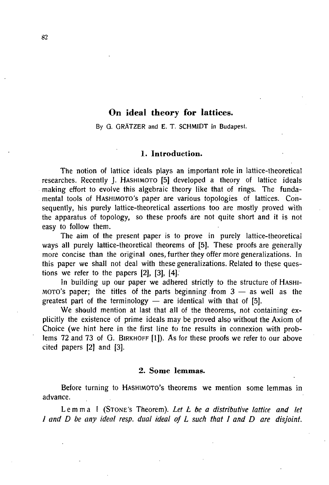# **On ideal theory for lattices.**

By G. GRATZER and E. T. SCHMIDT in Budapest.

# **1. Introduction.**

The notion of lattice ideals plays an important role in lattice-theoretical researches. Recently J. HASHIMOTO [5] developed a theory of lattice ideals making effort to evolve this algebraic theory like that of rings. The fundamental tools of HASHIMOTO'S paper are various topologies of lattices. Consequently, his purely lattice-theoretical assertions too are mostly proved with the apparatus of topology, so these proofs are not quite short and it is not easy to follow them.

The aim of the present paper is to prove in purely lattice-theoretical ways all purely lattice-theoretical theorems of [5]. These proofs are generally more concise than the original ones, further they offer more generalizations. In this paper we shall not deal with these generalizations. Related to these questions we refer to the papers [2], [3], [4].

In building up our paper we adhered strictly to the structure of HASHI-MOTO's paper; the titles of the parts beginning from  $3 -$  as well as the greatest part of the terminology  $-$  are identical with that of [5].

We should mention at last that all of the theorems, not containing explicitly the existence of prime ideals may be proved also without the Axiom of Choice (we hint here in the first line to the results in connexion with problems 72 and 73 of G. BIRKHOFF [1]). As for these proofs we refer to our above cited papers [2] and [3].

#### **2. Some lemmas.**

Before turning to HASHIMOTO'S theorems we mention some lemmas in advance.

Lemm a I (STONE'S Theorem). *Let L be a distributive lattice and let I and D be any ideal resp. dual ideal of L such that I and D are disjoint.*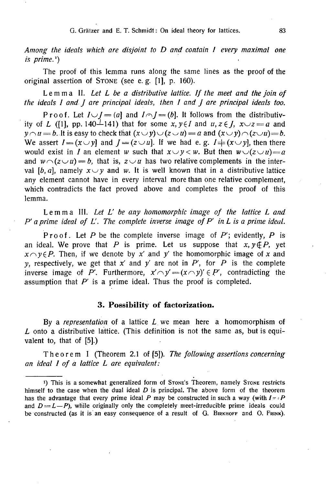*Among the ideals which are disjoint to D and contain 1 every maximal one*   $is$  *prime.*<sup>1</sup> $)$ 

The proof of this lemma runs along the same lines as the proof of the original assertion of STONE (see e. g. [1], p. 160).

Lemm a II. *Let L be a distributive lattice. If the meet and the join of the ideals I and J are principal ideals, then I and J are principal ideals too.* 

Proof. Let  $I \cup I = (a]$  and  $I \cap I = (b]$ . It follows from the distributivity of *L* ([1], pp. 140 $\overline{1}$ 141) that for some x, y $\in$ *I* and  $u, z \in$ *J, x* $\cup z = a$  and  $y \cap u = b$ . It is easy to check that  $(x \cup y) \cup (z \cup u) = a$  and  $(x \cup y) \cap (z \cup u) = b$ . We assert  $I = (x \cup y)$  and  $I = (z \cup u)$ . If we had e.g.  $I = (x \cup y)$ , then there would exist in *I* an element *w* such that  $x \cup y \leq w$ . But then  $w \cup (z \cup u) = a$ and  $W \cap (z \cup u) = b$ , that is,  $z \cup u$  has two relative complements in the interval [b, a], namely  $x \cup y$  and w. It is well known that in a distributive lattice any element cannot have in every interval more than one relative complement, which contradicts the fact proved above and completes the proof of this lemma.

Lemm a III. *Let L' be any homomorphic image of the lattice L and P' a prime ideal of L'. The complete inverse image of P' in L is a prime ideal.* 

Proof . Let *P* be the complete inverse image of *P';* evidently, *P* is an ideal. We prove that P is prime. Let us suppose that  $x, y \notin P$ , yet  $x \cap y \in P$ . Then, if we denote by x' and y' the homomorphic image of x and *y*, respectively, we get that  $x'$  and  $y'$  are not in  $P'$ , for  $P$  is the complete inverse image of P'. Furthermore,  $x' \cap y' = (x \cap y)' \in P'$ , contradicting the assumption that *P'* is a prime ideal. Thus the proof is completed.

#### **3. Possibility of factorization.**

By a *representation* of a lattice *L* we mean here a homomorphism of *L* onto a distributive lattice. (This definition is not the same as, but is equivalent to, that of [5].)

Theore m I (Theorem 2.1 of [5]). *The following assertions concerning an ideal I of a lattice L are equivalent:* 

<sup>&</sup>lt;sup>1</sup>) This is a somewhat generalized form of STONE's Theorem, namely STONE restricts himself to the case when the dual ideal *D* is principal. The above form of the theorem has the advantage that every prime ideal P may be constructed in such a way (with  $I = P$ and  $D = L - P$ ), while originally only the completely meet-irreducible prime ideals could be constructed (as it is an easy consequence of a result of G. BIRKHOFF and O. FRINK).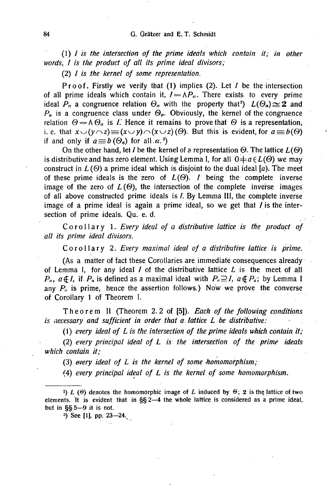*(1) I is the intersection of the prime ideals which contain it; in other words, I is the product of all its prime ideal divisors;* 

**( 2 )** *I is the kernel of some representation.* 

Proof. Firstly we verify that  $(1)$  implies  $(2)$ . Let *I* be the intersection of all prime ideals which contain it,  $I = \Lambda P_a$ . There exists to every prime ideal  $P_\alpha$  a congruence relation  $\Theta_\alpha$  with the property that<sup>2</sup>)  $L(\Theta_\alpha) \cong 2$  and  $P_a$  is a congruence class under  $\Theta_a$ . Obviously, the kernel of the congruence relation  $\Theta = \Lambda \Theta_a$  is *I*. Hence it remains to prove that  $\Theta$  is a representation, i. e. that  $x \cup (\nu \cap z) \equiv (x \cup \nu) \cap (x \cup z)$  ( $\Theta$ ). But this is evident, for  $a \equiv b(\Theta)$ if and only if  $a \equiv b(\Theta_{\alpha})$  for all  $\alpha$ .<sup>3</sup>)

On the other hand, let *I* be the kernel of a representation  $\Theta$ . The lattice  $L(\Theta)$ is distributive and has zero element. Using Lemma I, for all  $0 \neq a \in L(\Theta)$  we may construct in  $L(\Theta)$  a prime ideal which is disjoint to the dual ideal [a]. The meet of these prime ideals is the zero of  $L(\Theta)$ . *I* being the complete inverse image of the zero of  $L(\Theta)$ , the intersection of the complete inverse images of all above constructed prime ideals is I. By Lemma III, the complete inverse image of a prime ideal is again a prime ideal, so we get that  $I$  is the intersection of prime ideals. Qu. e. d.

*Corollary 1. Every ideal of a distributive lattice is the product of all its prime ideal divisors.* 

Corollar y 2. *Every maximal ideal of a distributive lattice is prime.* 

(As a matter of fact these Corollaries are immediate consequences already of Lemma I, for any ideal / of the distributive lattice *L* is the meet of all  $P_a$ ,  $a \notin I$ , if  $P_a$  is defined as a maximal ideal with  $P_a \supseteq I$ ,  $a \notin P_a$ ; by Lemma I any  $P_a$  is prime, hence the assertion follows.) Now we prove the converse of Corollary 1 of Theorem I.

Theore m II (Theorem 2.2 of [5]). *Each of the following conditions is necessary and sufficient in order that a lattice L be distributive:* 

*(1) every ideal of L is the intersection of the prime ideals which contain it;* 

(2) *every principal ideal of L is the intersection of the prime ideals which contain it;* 

(3) *every ideal of L is the kernel of some homomorphism;* 

(4) *every principal ideal of L is the kernel of some homomorphism.* 

3) See [1], pp. 23—24.

<sup>&</sup>lt;sup>2</sup>) *L* ( $\Theta$ ) denotes the homomorphic image of *L* induced by  $\Theta$ ; 2 is the lattice of two elements. It is evident that in §§2—4 the whole lattice is considered as a prime ideal, but in §§5—9 it is not.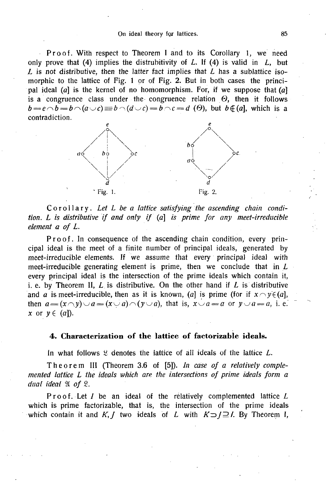Proof. With respect to Theorem I and to its Corollary 1, we need only prove that (4) implies the distruhitivity of *L.* If (4) is valid in *L,* but *L* is not distributive, then the latter fact implies that *L* has a sublattice isomorphic to the lattice of Fig. 1 or of Fig. 2. But in both cases the principal ideal (a) is the kernel of no homomorphism. For, if we suppose that  $(a)$ is a congruence class under the congruence relation  $\Theta$ , then it follows  $b = e \cap b = b \cap (a \cup c) = b \cap (d \cup c) = b \cap c = d$  (0), but  $b \notin (a]$ , which is a contradiction.



Corollary . *Let L be a lattice satisfying the ascending chain condition. L is distributive if and only if (a] is prime for any meet-irreducible element a of L.* 

Proof. In consequence of the ascending chain condition, every principal ideal is the meet of a finite number of principal ideals, generated by meet-irreducible elements. If we assume that every principal ideal with meet-irreducible generating element is prime, then we conclude that in *L*  every principal ideal is the intersection of the prime ideals which contain it, i. e. by Theorem II,  $L$  is distributive. On the other hand if  $L$  is distributive and *a* is meet-irreducible, then as it is known, (*a*) is prime (for if  $x \cap y \in (a]$ , then  $a = (x \cap y) \cup a = (x \cup a) \cap (y \cup a)$ , that is,  $x \cup a = a$  or  $y \cup a = a$ , i. e.  $x$  or  $y \in (a]$ ).

# **4. Characterization of the lattice of factorizable ideals.**

In what follows  $\mathcal{L}$  denotes the lattice of all ideals of the lattice *L*.

Theore m III (Theorem 3.6 of [5]). *In case of a relatively complemented lattice L the ideals which are the intersections of prime ideals form a dual ideal*  $\mathfrak{A}$  of  $\mathfrak{L}$ *.* 

Proof. Let *I* be an ideal of the relatively complemented lattice *L* which is prime factorizable, that is, the intersection of the prime ideals which contain it and K, *J* two ideals of *L* with  $K \supset J \supseteq I$ . By Theorem I,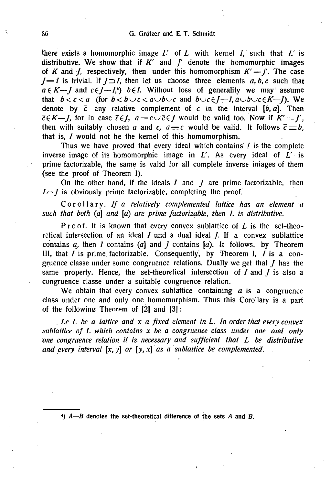there exists a homomorphic image  $L'$  of  $L$  with kernel  $I$ , such that  $L'$  is distributive. We show that if  $K'$  and  $J'$  denote the homomorphic images of *K* and *J*, respectively, then under this homomorphism  $K' \neq J'$ . The case *J*=*I* is trivial. If  $J \supset I$ , then let us choose three elements  $a, b, c$  such that  $a \in K \longrightarrow J$  and  $c \in J \longrightarrow I$ ,  $b \in I$ . Without loss of generality we may' assume that  $b < c < a$  (for  $b < b \cup c < a \cup b \cup c$  and  $b \cup c \in J-1$ ,  $a \cup b \cup c \in K-1$ ). We denote by *c* any relative complement of *c* in the interval [*b*, a]. Then  $\bar{c}(\bar{K}-1)$ , for in case  $\bar{c}(\bar{K})$ ,  $a = c \bar{c}(\bar{K})$  would be valid too. Now if  $K'=\bar{K}$ , then with suitably chosen *a* and *c*,  $a \equiv c$  would be valid. It follows  $\bar{c} \equiv b$ , that is, / would not be the kernel of this homomorphism.

Thus we have proved that every ideal which contains  $I$  is the complete inverse image of its homomorphic image in *L'.* As every ideal of *L'* is prime factorizable, the same is valid for all complete inverse images of them (see the proof of Theorem I).

On the other hand, if the ideals / and *J* are prime factorizable, then  $I \cap I$  is obviously prime factorizable, completing the proof.

Corollary. *If a relatively complemented lattice has an element a such that both (a] and [a) are prime factorizable, then L is distributive.* 

Proof. It is known that every convex sublattice of L is the set-theoretical intersection of an ideal *I* und a dual ideal *J.* If a convex sublattice contains *a,* then *I* contains (a] and *J* contains [a). It follows, by Theorem III, that  $I$  is prime factorizable. Consequently, by Theorem I,  $I$  is a congruence classe under some congruence relations. Dually we get that *J* has the same property. Hence, the set-theoretical intersection of / and *j* is also a congruence classe under a suitable congruence relation.

We obtain that every convex sublattice containing  $a$  is a congruence class under one and only one homomorphism. Thus this Corollary is a part of the following Theorem of [2] and [3]:

*Le L be a lattice and x a fixed element in L. In order that every convex sublattice of L which contains x be a congruence class under one and only one congruence relation it is necessary and sufficient that L be distributive* and every interval  $[x, y]$  or  $[y, x]$  as a sublattice be complemented.

*4) A—B* denotes the set-theoretical difference of the sets *A* and *B.*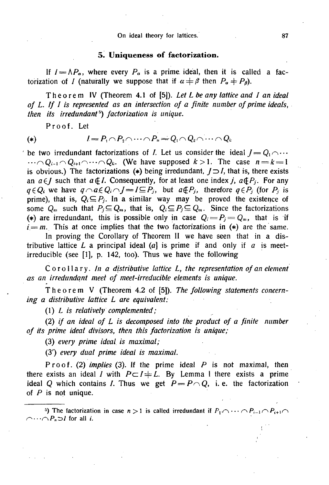### **5. Uniqueness of factorization.**

If  $I = \Lambda P_a$ , where every  $P_a$  is a prime ideal, then it is called a factorization of *I* (naturally we suppose that if  $\alpha \neq \beta$  then  $P_a \neq P_\beta$ ).

Theore m IV (Theorem 4.1 of [5]). *Let L be any lattice and I an ideal of L. If I is represented as an intersection of a finite number of prime ideals, then its irredundant'') factorization is unique.* 

Proof. Let

$$
(*)
$$

(\*)  $l = P_1 \cap P_2 \cap \cdots \cap P_n = Q_1 \cap Q_2 \cap \cdots \cap Q_k$ 

be two irredundant factorizations of *I*. Let us consider the ideal  $J = Q_1 \cap \cdots$  $\cdots \cap Q_{i-1} \cap Q_{i+1} \cap \cdots \cap Q_k$ . (We have supposed  $k > 1$ . The case  $n = k = 1$ is obvious.) The factorizations (\*) being irredundant,  $J \supset I$ , that is, there exists an  $a \in I$  such that  $a \notin I$ . Consequently, for at least one index *j*,  $a \notin P_j$ . For any  $q \in Q_i$  we have  $q \cap a \in Q_i \cap J = I \subseteq P_j$ , but  $a \notin P_j$ , therefore  $q \in P_j$  (for  $P_j$  is prime), that is,  $Q_i \subseteq P_j$ . In a similar way may be proved the existence of some  $Q_m$  such that  $P_j \subseteq Q_m$ , that is,  $Q_i \subseteq P_j \subseteq Q_m$ . Since the factorizations (\*) are irredundant, this is possible only in case  $Q_i = P_i = Q_m$ , that is if  $i=m$ . This at once implies that the two factorizations in (\*) are the same.

In proving the Corollary of Theorem II we have seen that in a distributive lattice L a principal ideal  $(a)$  is prime if and only if a is meetirreducible (see [1], p. 142, too). Thus we have the following

Corollary. *In a distributive lattice L, the representation of an element as an irredundant meet of meet-irreducible elements is unique.* 

Theore m V (Theorem 4.2 of [5]). *The following statements concerning a distributive lattice L are equivalent:* 

*(1) L is relatively complemented;* 

(2) *if an ideal of L is decomposed into the product of a finite number of its prime ideal divisors, then this factorization is unique;* 

(3) *every prime ideal is maximal;* 

(3') *every dual prime ideal is maximal.* 

Proof . (2) *implies* (3). If the prime ideal P is not maximal, then there exists an ideal I with  $P \subset I + L$ . By Lemma I there exists a prime ideal Q which contains *I*. Thus we get  $P = P \cap Q$ , i.e. the factorization of  $P$  is not unique.

<sup>5</sup>) The factorization in case  $n > 1$  is called irredundant if  $P_1 \cap \cdots \cap P_{i-1} \cap P_{i+1} \cap$  $\bigcap_{n\geq 0} P_n \supset I$  for all *i.*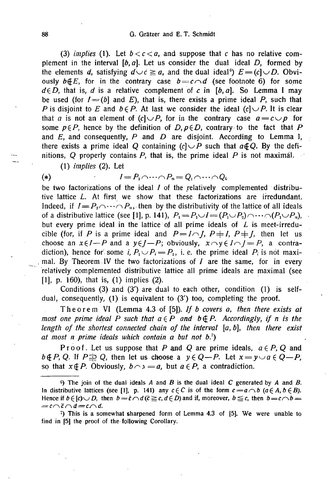(3) *implies* (1). Let  $b < c < a$ , and suppose that c has no relative complement in the interval *[b,a\.* Let us consider the dual ideal *D,* formed by the elements *d*, satisfying  $d \cup c \ge a$ , and the dual ideal<sup>6</sup>)  $E = (c \cup D$ . Obviously  $b \notin E$ , for in the contrary case  $b = c \land d$  (see footnote 6) for some  $d \in D$ , that is, *d* is a relative complement of *c* in  $[b, a]$ . So Lemma I may be used (for  $I = (b \, \text{and} \, E)$ , that is, there exists a prime ideal P, such that *P* is disjoint to *E* and  $b \in P$ . At last we consider the ideal  $(c) \cup P$ . It is clear that *a* is not an element of  $(c) \cup P$ , for in the contrary case  $a = c \cup p$  for some  $p \in P$ , hence by the definition of  $D, p \in D$ , contrary to the fact that P and *E,* and consequently, *P* and *D* are disjoint. According to Lemma I, there exists a prime ideal Q containing  $(c) \cup P$  such that  $a \notin Q$ . By the definitions, *Q* properly contains P, that is, the prime ideal *P* is not maximál.

(1) *implies* (2). Let

$$
(*) \qquad \qquad \qquad I = P_1 \cap \cdots \cap P_n = Q_1 \cap \cdots \cap Q_k
$$

be two factorizations of the ideal  $I$  of the relatively complemented distributive lattice *L.* At first we show that these factorizations are irredundant. Indeed, if  $I = P_2 \cap \cdots \cap P_n$ , then by the distributivity of the lattice of all ideals of a distributive lattice (see [1], p. 141),  $P_1 = P_1 \cup I = (P_1 \cup P_2) \cap \cdots \cap (P_1 \cup P_n)$ , but every prime ideal in the lattice of all prime ideals of *L* is meet-irreducible (for, if P is a prime ideal and  $P = I \cap I$ ,  $P \neq I$ ,  $P \neq I$ , then let us choose an  $x \in I - P$  and a  $y \in I - P$ ; obviously,  $x \cap y \in I \cap I = P$ , a contradiction), hence for some i,  $P_1 \cup P_2 = P_1$ , i.e. the prime ideal  $P_i$  is not maximal. By Theorem IV the two factorizations of  $I$  are the same, for in every relatively complemented distributive lattice all prime ideals are maximal (see [1], p. 160), that is, (1) implies (2).

Conditions (3) and (3') are dual to each other, condition (1) is selfdual, consequently, (1) is equivalent to (3') too, completing the proof.

Theore m VI (Lemma 4.3 of [5]). *If b covers a, then there exists at most one prime ideal P such that*  $a \in P$  *and*  $b \notin P$ *. Accordingly, if n is the length of the shortest connected chain of the interval [a, b\, then there exist at most n prime ideals which contain a but not b.r)* 

Proof. Let us suppose that P and Q are prime ideals,  $a \in P$ , Q and  $b \notin P$ , Q. If  $P \nRightarrow Q$ , then let us choose a  $y \in Q - P$ . Let  $x = y \cup a \in Q - P$ , so that  $x \notin P$ . Obviously,  $b \cap x = a$ , but  $a \in P$ , a contradiction.

The join of the dual ideals *A* and *B* is the dual ideal C generated by *A* and *B.*  In distributive lattices (see [1], p. 141) any  $c \in C$  is of the form  $c = a \wedge b$  ( $a \in A, b \in B$ ). Hence if  $b \in [c] \cup D$ , then  $b = \overline{c} \cap d$  ( $\overline{c} \geq c$ ,  $d \in D$ ) and if, moreover,  $b \leq c$ , then  $b = c \cap b = 0$  $=c\cap \tilde{c}\cap d=c\cap d$ .

<sup>7</sup>) This is a somewhat sharpened form of Lemma 4.3 of [5]. We were unable to find in [5]. the proof of the following Corollary.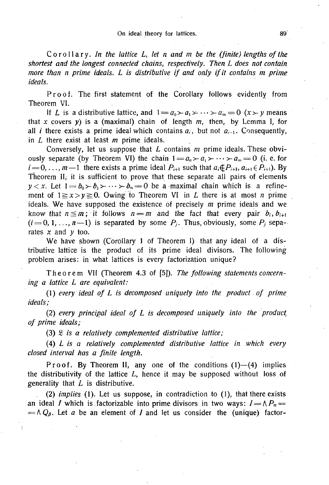Corollary. *In the lattice L, let n and m be the (finite) lengths of the shortest and the longest connected chains, respectively. Then L does not contain more than n prime ideals. L is distributive if and only if it contains m prime ideals.* 

Proof. The first statement of the Corollary follows evidently from Theorem VI.

If *L* is a distributive lattice, and  $1 = a_0 \succ a_1 \succ \cdots \succ a_m = 0 \ (x \succ y \text{ means})$ that *x* covers *y)* is a (maximal) chain of length *m,* then, by Lemma I, for all *i* there exists a prime ideal which contains  $a_i$ , but not  $a_{i-1}$ . Consequently, in *L* there exist at least *m* prime ideals.

Conversely, let us suppose that *L* contains *m* prime ideals. These obviously separate (by Theorem VI) the chain  $1 = a_0 \rightarrow a_1 \rightarrow \cdots \rightarrow a_m = 0$  (i. e. for  $i = 0, \ldots, m-1$  there exists a prime ideal  $P_{i+1}$  such that  $a_i \notin P_{i+1}, a_{i+1} \in P_{i+1}$ . By Theorem II, it is sufficient to prove that these separate all pairs of elements  $y < x$ . Let  $1 = b_0 > b_1 > \cdots > b_n = 0$  be a maximal chain which is a refinement of  $1 \ge x > y \ge 0$ . Owing to Theorem VI in *L* there is at most *n* prime ideals. We have supposed the existence of precisely *m* prime ideals and we know that  $n \leq m$ ; it follows  $n = m$  and the fact that every pair  $b_i, b_{i+1}$  $(i=0,1,\ldots,n-1)$  is separated by some  $P_i$ . Thus, obviously, some  $P_i$  separates x and *y* too.

We have shown (Corollary 1 of Theorem I) that any ideal of a distributive lattice is the product of its prime ideal divisors. The following problem arises: in what lattices is every factorization unique?

Theore m VII (Theorem 4.3 of [5]). *The following statements concerning a lattice L are equivalent:* 

*(1) every ideal of L is decomposed uniquely into the product of prime ideals;* 

(2) *every principal ideal of L is decomposed uniquely into the product; of prime ideals;* 

(3) S *is a relatively complemented distributive lattice;* 

(4) *L is a relatively complemented distributive lattice in which every closed interval has a finite length.* 

Proof. By Theorem II, any one of the conditions  $(1)$ — $(4)$  implies the distributivity of the lattice *L,* hence it may be supposed without loss of generality that *L* is distributive.

(2) *implies* (1). Let us suppose, in contradiction to (1), that there exists an ideal *I* which is factorizable into prime divisors in two ways:  $I = \Lambda P_a =$  $= \Lambda Q_{\beta}$ . Let *a* be an element of *I* and let us consider the (unique) factor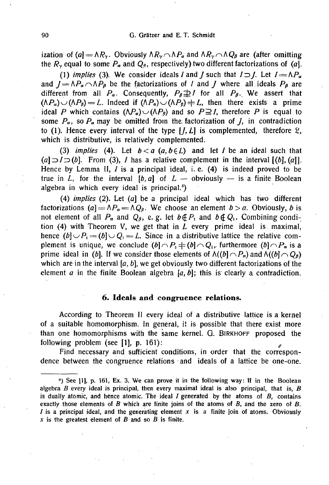ization of (a] =  $\Lambda R_\gamma$ . Obviously  $\Lambda R_\gamma \cap \Lambda P_\sigma$  and  $\Lambda R_\gamma \cap \Lambda Q_\beta$  are (after omitting the  $R<sub>y</sub>$  equal to some  $P<sub>a</sub>$  and  $Q<sub>a</sub>$ , respectively) two different factorizations of (a].

(1) *implies* (3). We consider ideals *l* and *l* such that  $l \supset l$ . Let  $l = \Lambda P_a$ and  $J = \Lambda P_a \cap \Lambda P_\beta$  be the factorizations of *I* and *J* where all ideals  $P_\beta$  are different from all  $P_a$ . Consequently,  $P_\beta \not\supseteq I$  for all  $P_\beta$ . We assert that  $(\Lambda P_{a})\cup(\Lambda P_{\beta})=L$ . Indeed if  $(\Lambda P_{a})\cup(\Lambda P_{\beta})\neq L$ , then there exists a prime ideal P which contains  $(\Lambda P_{\sigma}) \cup (\Lambda P_{\beta})$  and so  $P \supseteq I$ , therefore P is equal to some  $P_{\alpha}$ , so  $P_{\alpha}$  may be omitted from the factorization of *J*, in contradiction to (1). Hence every interval of the type  $[I, L]$  is complemented, therefore  $\mathcal{L}$ , which is distributive, is relatively complemented.

(3) *implies* (4). Let  $b < a$  ( $a, b \in L$ ) and let *I* be an ideal such that  $(a] \supset I \supset (b]$ . From (3), *I* has a relative complement in the interval  $[(b], (a)]$ . Hence by Lemma II,  $I$  is a principal ideal, i. e.  $(4)$  is indeed proved to be true in L, for the interval  $[b, a]$  of  $L$  — obviously — is a finite Boolean algebra in which every ideal is principal. $8$ )

(4) *implies* (2). Let (a] be a principal ideal which has two different factorizations (a] =  $\Lambda P_a$  =  $\Lambda Q_\beta$ . We choose an element  $b > a$ . Obviously, *b* is not element of all  $P_{\alpha}$  and  $Q_{\beta}$ , e.g. let  $b \notin P_1$  and  $b \notin Q_1$ . Combining condition (4) with Theorem V, we get that in  $L$  every prime ideal is maximal, hence  $(b)\cup P_1 = (b)\cup Q_1 = L$ . Since in a distributive lattice the relative complement is unique, we conclude  $(b|\cap P_1 \neq (b|\cap Q_1)$ , furthermore  $(b|\cap P_{\alpha})$  is a prime ideal in (b). If we consider those elements of  $\Lambda((b) \cap P_a)$  and  $\Lambda((b) \cap Q_\beta)$ which are in the interval  $[a, b]$ , we get obviously two different factorizations of the element a in the finite Boolean algebra *[a, b]\* this is clearly a contradiction.

### **6. Ideals and congruence relations.**

According to Theorem II every ideal of a distributive lattice is a kernel of a suitable homomorphism. In general, it is possible that there exist more than one homomorphisms with the same kernel. G. BIRKHOFF proposed the following problem (see [1], p. 161):

Find necessary and sufficient conditions, in order that the correspondence between the congruence relations and ideals of a lattice be one-one.

 $\%$ ) See [1], p. 161, Ex. 3. We can prove it in the following way: If in the Boolean algebra *B* every ideal is principal, then every maximal ideal is also principal, that is, *B*  is dually atomic, and hence atomic. The ideal I generated by the atoms of *B,* contains exactly those elements of *B* which are finite joins of the atoms of *B,* and the zero of *B. I* is a principal ideal, and the generating element *x* is a finite join of atoms. Obviously *x* is the greatest element of *B* and so *B* is finite.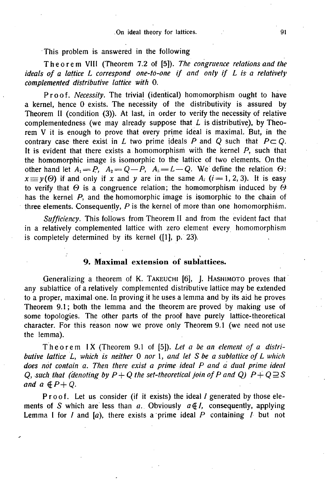### On ideal theory for lattices. 91'

This problem is answered in the following

Theore m VIII (Theorem 7.2 of [5]). *The congruence relations and the ideals of a lattice L correspond one-to-one if and only if L is a relatively complemented distributive lattice with* **0.** 

Proof. *Necessity*. The trivial (identical) homomorphism ought to have a kernel, hence 0 exists. The necessity of the distributivity is assured by Theorem II (condition (3)). At last, in order to verify the necessity of relative complementedness (we may already suppose that *L* is distributive), by Theorem V it is enough to prove that every prime ideal is maximal. But, in the contrary case there exist in *L* two prime ideals *P* and *Q* such that  $P \subset Q$ . It is evident that there exists a homomorphism with the kernel  $P$ , such that the homomorphic image is isomorphic to the lattice of two elements. On the other hand let  $A_1 = P$ ,  $A_2 = Q - P$ ,  $A_3 = L - Q$ . We define the relation  $\Theta$ :  $x \equiv y(0)$  if and only if x and y are in the same  $A_i$ ; (*i* = 1, 2, 3). It is easy to verify that  $\Theta$  is a congruence relation; the homomorphism induced by  $\Theta$ has the kernel P, and the homomorphic image is isomorphic to the chain of three elements. Consequently,  $P$  is the kernel of more than one homomorphism.

*Sufficiency.* This follows from Theorem II and from the evident fact that in a relatively complemented lattice with zero element every homomorphism is completely determined by its kernel ([1], p. 23).

### **9. Maximal extension of sublattices.**

Generalizing a theorem of K. TAKEUCHI [6], J. HASHIMOTO proves that any subiattice of a relatively complemented distributive lattice may be extended to a proper, maximal one. In proving it he uses a lemma and by its aid he proves Theorem 9.1; both the lemma and the theorem are proved by making use of some topologies. The other parts of the proof have purely lattice-theoretical character. For this reason now we prove only Theorem 9.1 (we need not use the lemma).

Theore m IX (Theorem 9.1 of [5]). *Let a be an element of a distributive lattice L, which is neither* 0 *nor* 1*, and let S be a subiattice of L which does not contain a. Then there exist a prime ideal P and a dual prime ideal Q, such that (denoting by P + Q the set-theoretical join of P and Q)*  $P+Q\supseteq S$ *and a*  $\oint P+Q$ .

Proof. Let us consider (if it exists) the ideal  $I$  generated by those elements of S which are less than  $a$ . Obviously  $a \notin I$ , consequently, applying Lemma I for  $I$  and  $[a]$ , there exists a prime ideal  $P$  containing  $I$  but not